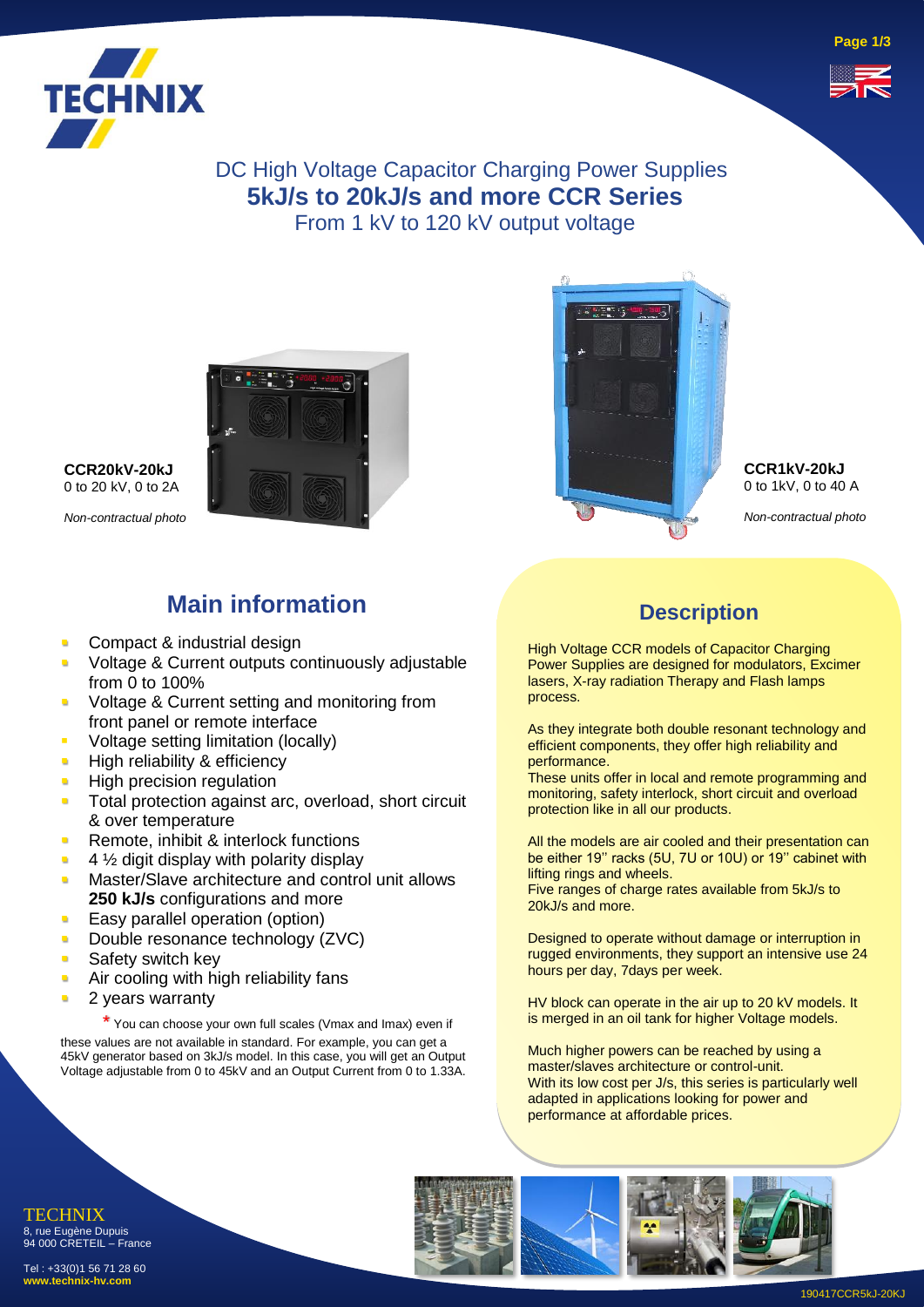



DC High Voltage Capacitor Charging Power Supplies **5kJ/s to 20kJ/s and more CCR Series** From 1 kV to 120 kV output voltage



**CCR20kV-20kJ** 0 to 20 kV, 0 to 2A

*Non-contractual photo*

- **Main information**
- Compact & industrial design
- Voltage & Current outputs continuously adjustable from 0 to 100%
- Voltage & Current setting and monitoring from front panel or remote interface
- Voltage setting limitation (locally)
- **E** High reliability & efficiency
- **E** High precision regulation
- **Total protection against arc, overload, short circuit** & over temperature
- **Remote, inhibit & interlock functions**
- $\blacksquare$  4  $\frac{1}{2}$  digit display with polarity display
- **■** Master/Slave architecture and control unit allows **250 kJ/s** configurations and more
- **Easy parallel operation (option)**
- **Double resonance technology (ZVC)**
- **•** Safety switch key
- **E.** Air cooling with high reliability fans
- 2 years warranty

\* You can choose your own full scales (Vmax and Imax) even if these values are not available in standard. For example, you can get a 45kV generator based on 3kJ/s model. In this case, you will get an Output Voltage adjustable from 0 to 45kV and an Output Current from 0 to 1.33A.



**CCR1kV-20kJ** 0 to 1kV, 0 to 40 A

*Non-contractual photo*

### **Description**

High Voltage CCR models of Capacitor Charging Power Supplies are designed for modulators, Excimer lasers, X-ray radiation Therapy and Flash lamps process.

As they integrate both double resonant technology and efficient components, they offer high reliability and performance.

These units offer in local and remote programming and monitoring, safety interlock, short circuit and overload protection like in all our products.

All the models are air cooled and their presentation can be either 19'' racks (5U, 7U or 10U) or 19'' cabinet with lifting rings and wheels.

Five ranges of charge rates available from 5kJ/s to 20kJ/s and more.

Designed to operate without damage or interruption in rugged environments, they support an intensive use 24 hours per day, 7days per week.

HV block can operate in the air up to 20 kV models. It is merged in an oil tank for higher Voltage models.

Much higher powers can be reached by using a master/slaves architecture or control-unit. With its low cost per J/s, this series is particularly well adapted in applications looking for power and performance at affordable prices.



94 000 CRETEIL – France Tel : +33(0)1 56 71 28 60 **www.technix-hv.com**

TECHNIX 8, rue Eugène Dupuis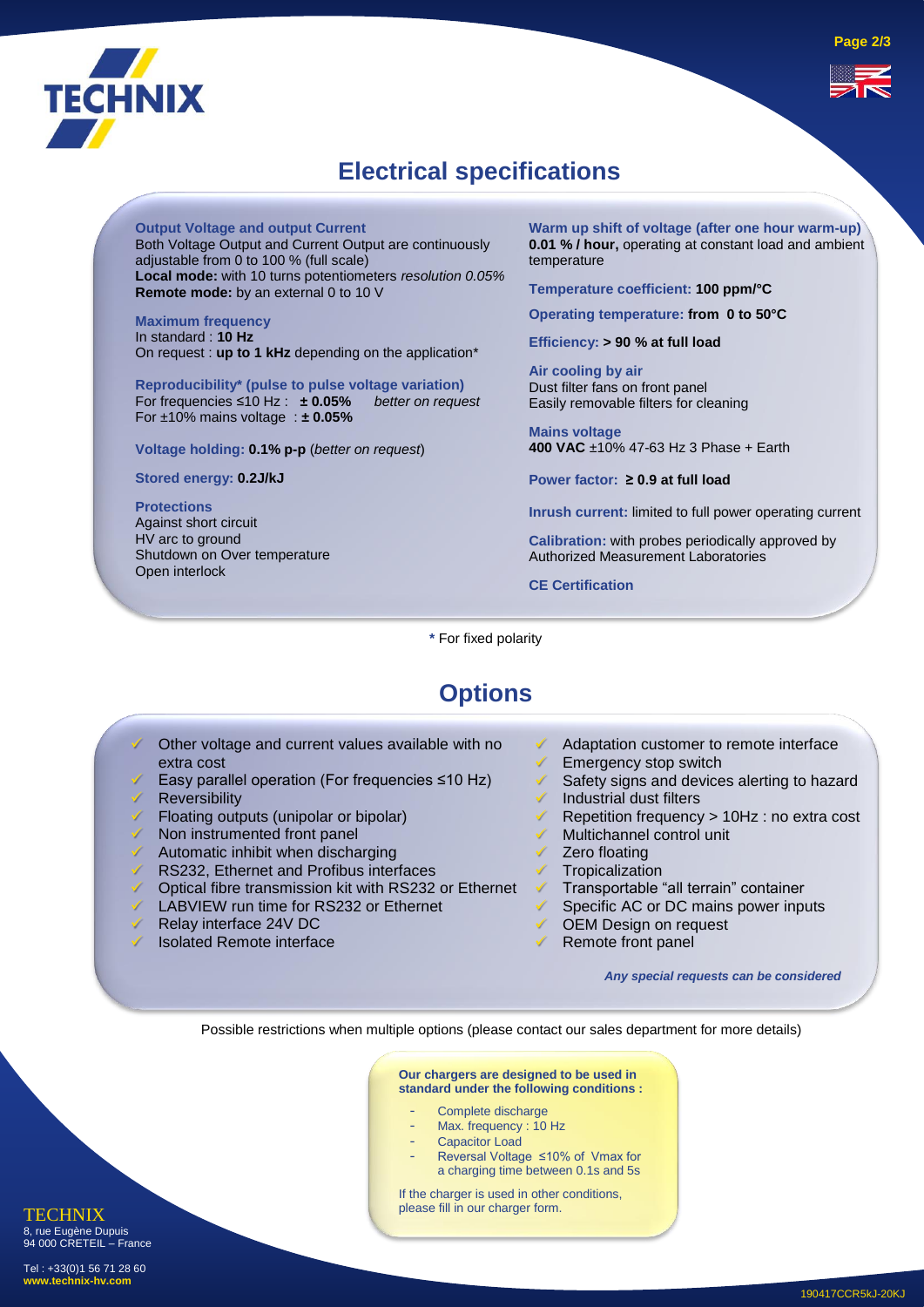

# **Electrical specifications**

**Output Voltage and output Current**

Both Voltage Output and Current Output are continuously adjustable from 0 to 100 % (full scale) **Local mode:** with 10 turns potentiometers *resolution 0.05%* **Remote mode:** by an external 0 to 10 V

**Maximum frequency**  In standard : **10 Hz** On request : **up to 1 kHz** depending on the application\*

**Reproducibility\* (pulse to pulse voltage variation)** For frequencies ≤10 Hz : **± 0.05%** *better on request* For ±10% mains voltage : **± 0.05%**

**Voltage holding: 0.1% p-p** (*better on request*)

**Stored energy: 0.2J/kJ**

**Protections** Against short circuit HV arc to ground Shutdown on Over temperature Open interlock

**Warm up shift of voltage (after one hour warm-up) 0.01 % / hour,** operating at constant load and ambient temperature

**Temperature coefficient: 100 ppm/°C**

**Operating temperature: from 0 to 50°C**

**Efficiency: > 90 % at full load** 

**Air cooling by air**  Dust filter fans on front panel Easily removable filters for cleaning

**Mains voltage 400 VAC** ±10% 47-63 Hz 3 Phase + Earth

**Power factor: ≥ 0.9 at full load**

Remote front panel

**Inrush current:** limited to full power operating current

**Calibration:** with probes periodically approved by Authorized Measurement Laboratories

**CE Certification**

**\*** For fixed polarity

# **Options**

- Other voltage and current values available with no extra cost ✓ Easy parallel operation (For frequencies ≤10 Hz) **Reversibility** Floating outputs (unipolar or bipolar) Non instrumented front panel Automatic inhibit when discharging RS232, Ethernet and Profibus interfaces Optical fibre transmission kit with RS232 or Ethernet LABVIEW run time for RS232 or Ethernet Adaptation customer to remote interface Emergency stop switch Safety signs and devices alerting to hazard Industrial dust filters ✓ Repetition frequency > 10Hz : no extra cost Multichannel control unit ✓ Zero floating ✓ Tropicalization ✓ Transportable "all terrain" container Specific AC or DC mains power inputs OEM Design on request
- Relay interface 24V DC
- Isolated Remote interface

*Any special requests can be considered*

Possible restrictions when multiple options (please contact our sales department for more details)

**Our chargers are designed to be used in standard under the following conditions :**

- Complete discharge
- Max. frequency : 10 Hz
- Capacitor Load
- Reversal Voltage ≤10% of Vmax for a charging time between 0.1s and 5s

If the charger is used in other conditions, please fill in our charger form.

**TECHNIX** 8, rue Eugène Dupuis 94 000 CRETEIL – France